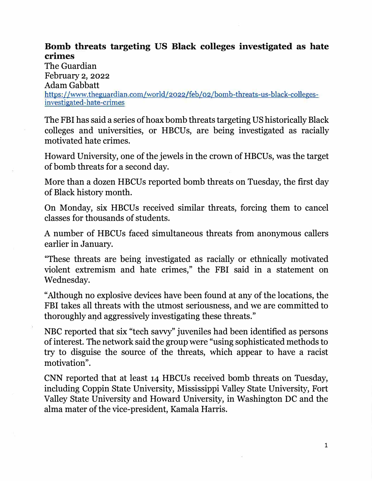## **Bomb threats targeting US Black colleges investigated as hate crimes**

The Guardian February 2, 2022 Adam Gabbatt https://www.theguardian.com/world/2022/feb/02/bomb-threats-us-black-collegesinvestigated-hate-crimes

The FBI has said a series of hoax bomb threats targeting US historically Black colleges and universities, or HBCUs, are being investigated as racially motivated hate crimes.

Howard University, one of the jewels in the crown of HBCUs, was the target of bomb threats for a second day.

More than a dozen HBCUs reported bomb threats on Tuesday, the first day of Black history month.

On Monday, six HBCUs received similar threats, forcing them to cancel classes for thousands of students.

A number of HBCUs faced simultaneous threats from anonymous callers earlier in January.

"These threats are being investigated as racially or ethnically motivated violent extremism and hate crimes," the FBI said in a statement on Wednesday.

"Although no explosive devices have been found at any of the locations, the FBI takes all threats with the utmost seriousness, and we are committed to thoroughly and aggressively investigating these threats."

NBC reported that six "tech savvy" juveniles had been identified as persons of interest. The network said the group were "using sophisticated methods to try to disguise the source of the threats, which appear to have a racist motivation".

CNN reported that at least 14 HBCUs received bomb threats on Tuesday, including Coppin State University, Mississippi Valley State University, Fort Valley State University and Howard University, in Washington DC and the alma mater of the vice-president, Kamala Harris.

1